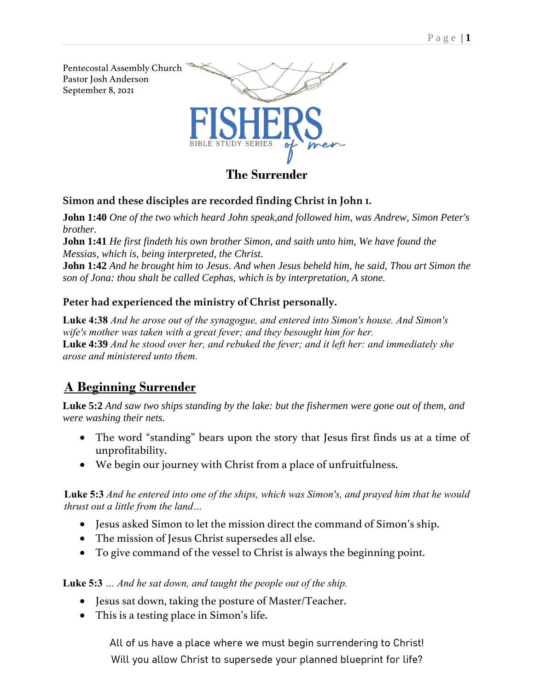

## **Simon and these disciples are recorded finding Christ in John 1.**

**John 1:40** *One of the two which heard John speak,and followed him, was Andrew, Simon Peter's brother.*

**John 1:41** *He first findeth his own brother Simon, and saith unto him, We have found the Messias, which is, being interpreted, the Christ.*

**John 1:42** *And he brought him to Jesus. And when Jesus beheld him, he said, Thou art Simon the son of Jona: thou shalt be called Cephas, which is by interpretation, A stone.*

## **Peter had experienced the ministry of Christ personally.**

**Luke 4:38** *And he arose out of the synagogue, and entered into Simon's house. And Simon's wife's mother was taken with a great fever; and they besought him for her.* **Luke 4:39** *And he stood over her, and rebuked the fever; and it left her: and immediately she arose and ministered unto them.*

# **A Beginning Surrender**

**Luke 5:2** *And saw two ships standing by the lake: but the fishermen were gone out of them, and were washing their nets.*

- The word "standing" bears upon the story that Jesus first finds us at a time of unprofitability.
- We begin our journey with Christ from a place of unfruitfulness.

### **Luke 5:3** *And he entered into one of the ships, which was Simon's, and prayed him that he would thrust out a little from the land…*

- Jesus asked Simon to let the mission direct the command of Simon's ship.
- The mission of Jesus Christ supersedes all else.
- To give command of the vessel to Christ is always the beginning point.

**Luke 5:3** *… And he sat down, and taught the people out of the ship.*

- Jesus sat down, taking the posture of Master/Teacher.
- This is a testing place in Simon's life.

All of us have a place where we must begin surrendering to Christ! Will you allow Christ to supersede your planned blueprint for life?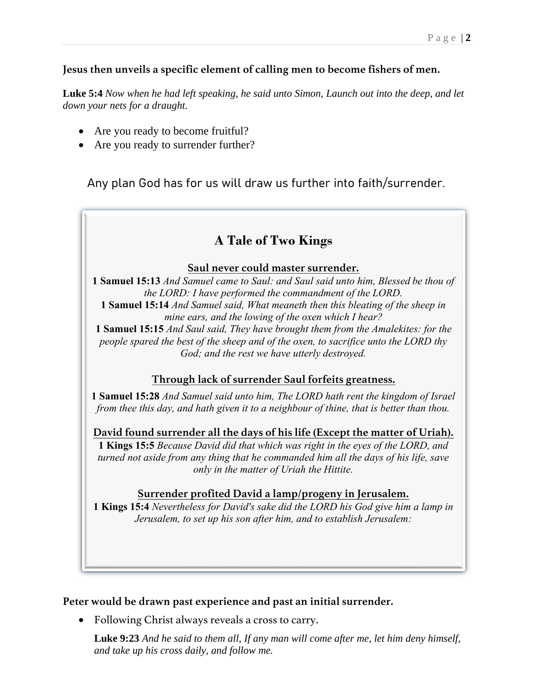### **Jesus then unveils a specific element of calling men to become fishers of men.**

**Luke 5:4** *Now when he had left speaking, he said unto Simon, Launch out into the deep, and let down your nets for a draught.*

- Are you ready to become fruitful?
- Are you ready to surrender further?

Any plan God has for us will draw us further into faith/surrender.

# **A Tale of Two Kings**

### **Saul never could master surrender.**

**1 Samuel 15:13** *And Samuel came to Saul: and Saul said unto him, Blessed be thou of the LORD: I have performed the commandment of the LORD.* **1 Samuel 15:14** *And Samuel said, What meaneth then this bleating of the sheep in mine ears, and the lowing of the oxen which I hear?* **1 Samuel 15:15** *And Saul said, They have brought them from the Amalekites: for the* 

*people spared the best of the sheep and of the oxen, to sacrifice unto the LORD thy God; and the rest we have utterly destroyed.*

## **Through lack of surrender Saul forfeits greatness.**

**1 Samuel 15:28** *And Samuel said unto him, The LORD hath rent the kingdom of Israel from thee this day, and hath given it to a neighbour of thine, that is better than thou.*

**David found surrender all the days of his life (Except the matter of Uriah). 1 Kings 15:5** *Because David did that which was right in the eyes of the LORD, and turned not aside from any thing that he commanded him all the days of his life, save only in the matter of Uriah the Hittite.*

### **Surrender profited David a lamp/progeny in Jerusalem.**

**1 Kings 15:4** *Nevertheless for David's sake did the LORD his God give him a lamp in Jerusalem, to set up his son after him, and to establish Jerusalem:*

### **Peter would be drawn past experience and past an initial surrender.**

• Following Christ always reveals a cross to carry.

**Luke 9:23** *And he said to them all, If any man will come after me, let him deny himself, and take up his cross daily, and follow me.*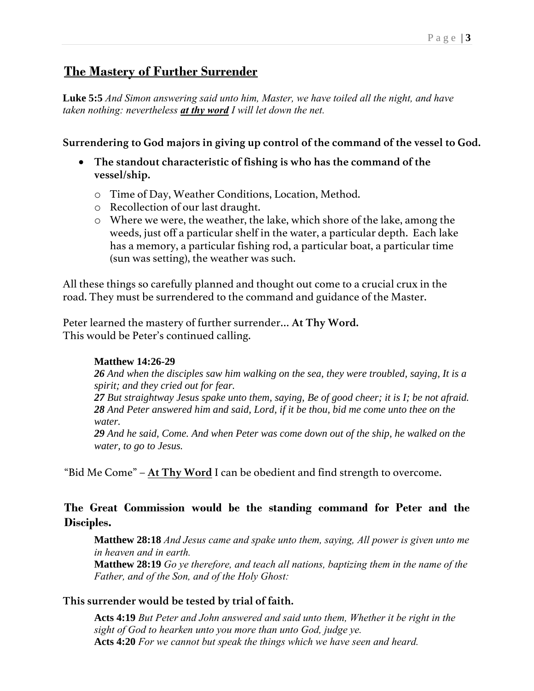# **The Mastery of Further Surrender**

**Luke 5:5** *And Simon answering said unto him, Master, we have toiled all the night, and have taken nothing: nevertheless at thy word I will let down the net.*

**Surrendering to God majors in giving up control of the command of the vessel to God.**

- **The standout characteristic of fishing is who has the command of the vessel/ship.**
	- o Time of Day, Weather Conditions, Location, Method.
	- o Recollection of our last draught.
	- o Where we were, the weather, the lake, which shore of the lake, among the weeds, just off a particular shelf in the water, a particular depth. Each lake has a memory, a particular fishing rod, a particular boat, a particular time (sun was setting), the weather was such.

All these things so carefully planned and thought out come to a crucial crux in the road. They must be surrendered to the command and guidance of the Master.

Peter learned the mastery of further surrender… **At Thy Word.** This would be Peter's continued calling.

## **Matthew 14:26-29**

*26 And when the disciples saw him walking on the sea, they were troubled, saying, It is a spirit; and they cried out for fear.*

*27 But straightway Jesus spake unto them, saying, Be of good cheer; it is I; be not afraid. 28 And Peter answered him and said, Lord, if it be thou, bid me come unto thee on the water.*

*29 And he said, Come. And when Peter was come down out of the ship, he walked on the water, to go to Jesus.*

"Bid Me Come" – **At Thy Word** I can be obedient and find strength to overcome.

## **The Great Commission would be the standing command for Peter and the Disciples.**

**Matthew 28:18** *And Jesus came and spake unto them, saying, All power is given unto me in heaven and in earth.*

**Matthew 28:19** *Go ye therefore, and teach all nations, baptizing them in the name of the Father, and of the Son, and of the Holy Ghost:*

## **This surrender would be tested by trial of faith.**

**Acts 4:19** *But Peter and John answered and said unto them, Whether it be right in the sight of God to hearken unto you more than unto God, judge ye.* **Acts 4:20** *For we cannot but speak the things which we have seen and heard.*